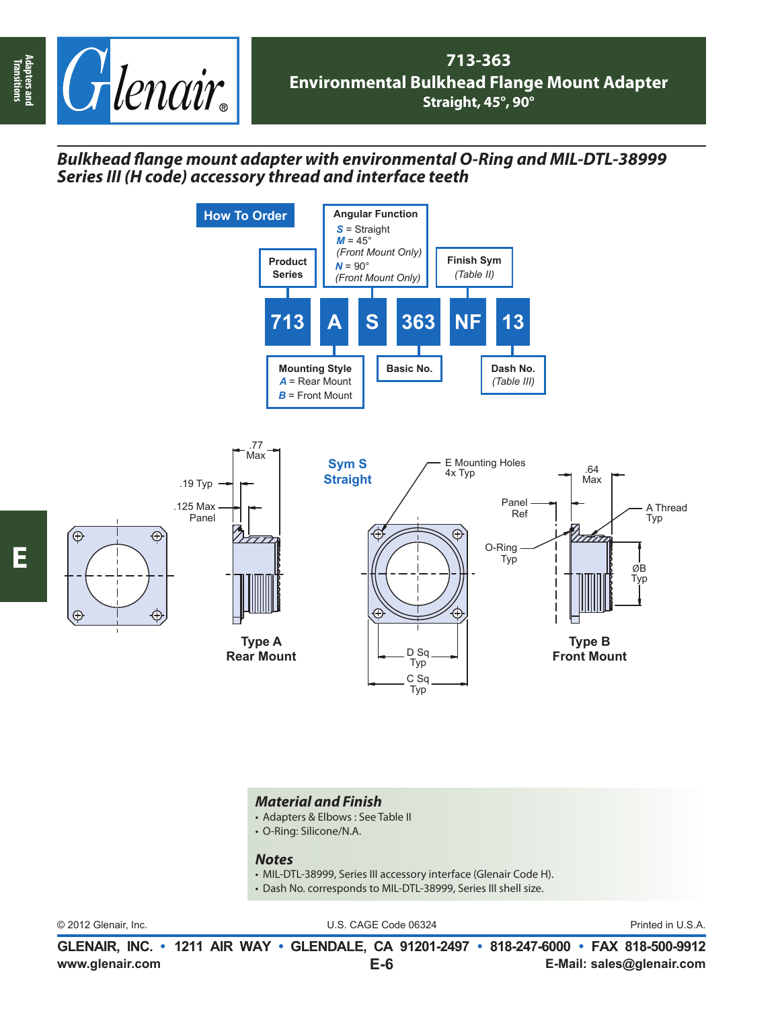

## *Bulkhead fl ange mount adapter with environmental O-Ring and MIL-DTL-38999 Series III (H code) accessory thread and interface teeth*





## *Material and Finish*

- Adapters & Elbows : See Table II
- O-Ring: Silicone/N.A.

## *Notes*

- MIL-DTL-38999, Series III accessory interface (Glenair Code H).
- Dash No. corresponds to MIL-DTL-38999, Series III shell size.

© 2012 Glenair, Inc. U.S. CAGE Code 06324 Printed in U.S.A.

**www.glenair.com E-Mail: sales@glenair.com GLENAIR, INC. • 1211 AIR WAY • GLENDALE, CA 91201-2497 • 818-247-6000 • FAX 818-500-9912 E-6**

**Adapters and Transitions**

Adapters and<br>Transitions